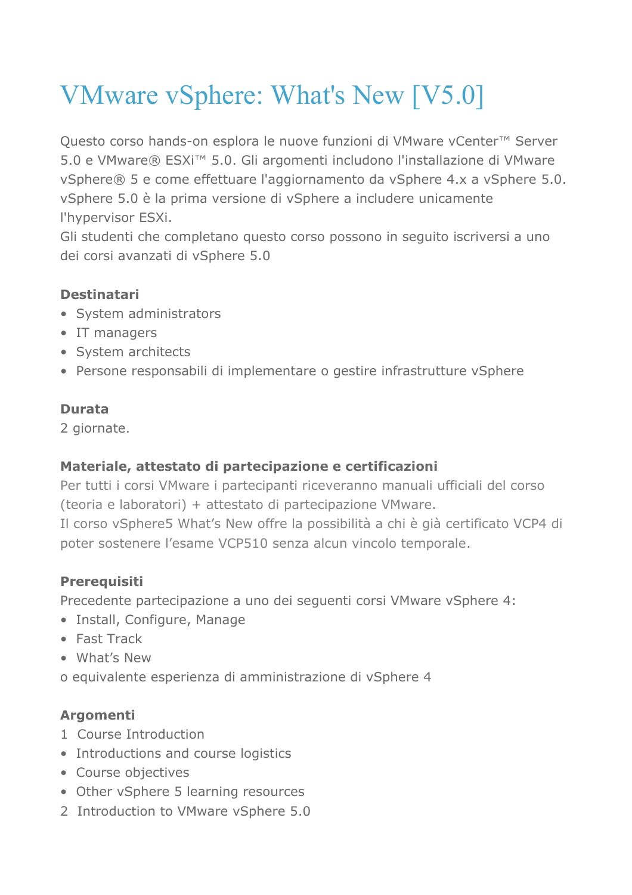# VMware vSphere: What's New [V5.0]

Questo corso hands-on esplora le nuove funzioni di VMware vCenter™ Server 5.0 e VMware® ESXi™ 5.0. Gli argomenti includono l'installazione di VMware vSphere® 5 e come effettuare l'aggiornamento da vSphere 4.x a vSphere 5.0. vSphere 5.0 è la prima versione di vSphere a includere unicamente l'hypervisor ESXi.

Gli studenti che completano questo corso possono in seguito iscriversi a uno dei corsi avanzati di vSphere 5.0

## **Destinatari**

- System administrators
- IT managers
- System architects
- Persone responsabili di implementare o gestire infrastrutture vSphere

### **Durata**

2 giornate.

## **Materiale, attestato di partecipazione e certificazioni**

Per tutti i corsi VMware i partecipanti riceveranno manuali ufficiali del corso (teoria e laboratori) + attestato di partecipazione VMware. Il corso vSphere5 What's New offre la possibilità a chi è già certificato VCP4 di poter sostenere l'esame VCP510 senza alcun vincolo temporale.

## **Prerequisiti**

Precedente partecipazione a uno dei seguenti corsi VMware vSphere 4:

- Install, Configure, Manage
- Fast Track
- What's New
- o equivalente esperienza di amministrazione di vSphere 4

## **Argomenti**

- 1 Course Introduction
- Introductions and course logistics
- Course objectives
- Other vSphere 5 learning resources
- 2 Introduction to VMware vSphere 5.0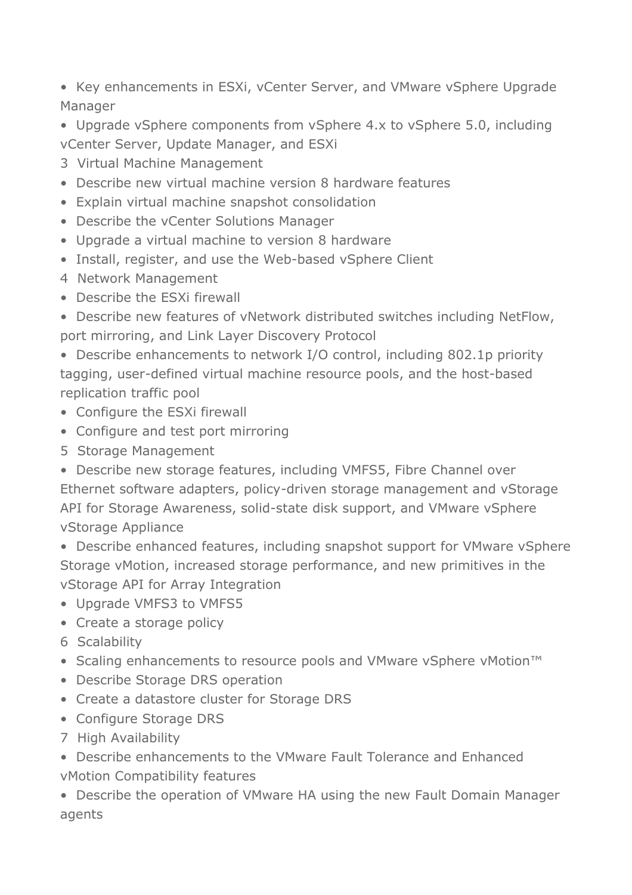• Key enhancements in ESXi, vCenter Server, and VMware vSphere Upgrade Manager

• Upgrade vSphere components from vSphere 4.x to vSphere 5.0, including vCenter Server, Update Manager, and ESXi

- 3 Virtual Machine Management
- Describe new virtual machine version 8 hardware features
- Explain virtual machine snapshot consolidation
- Describe the vCenter Solutions Manager
- Upgrade a virtual machine to version 8 hardware
- Install, register, and use the Web-based vSphere Client
- 4 Network Management
- Describe the ESXi firewall
- Describe new features of vNetwork distributed switches including NetFlow, port mirroring, and Link Layer Discovery Protocol

• Describe enhancements to network I/O control, including 802.1p priority tagging, user-defined virtual machine resource pools, and the host-based replication traffic pool

- Configure the ESXi firewall
- Configure and test port mirroring
- 5 Storage Management

• Describe new storage features, including VMFS5, Fibre Channel over Ethernet software adapters, policy-driven storage management and vStorage API for Storage Awareness, solid-state disk support, and VMware vSphere vStorage Appliance

• Describe enhanced features, including snapshot support for VMware vSphere Storage vMotion, increased storage performance, and new primitives in the vStorage API for Array Integration

- Upgrade VMFS3 to VMFS5
- Create a storage policy
- 6 Scalability
- Scaling enhancements to resource pools and VMware vSphere vMotion™
- Describe Storage DRS operation
- Create a datastore cluster for Storage DRS
- Configure Storage DRS
- 7 High Availability

• Describe enhancements to the VMware Fault Tolerance and Enhanced vMotion Compatibility features

• Describe the operation of VMware HA using the new Fault Domain Manager agents